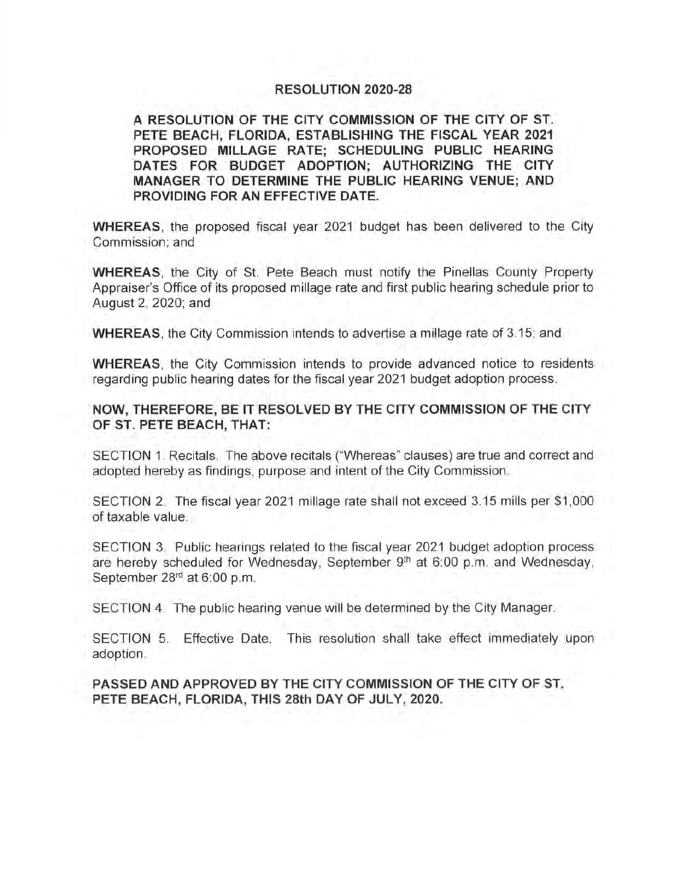## **RESOLUTION 2020-28**

**A RESOLUTION OF THE CITY COMMISSION OF THE CITY OF ST. PETE BEACH, FLORIDA, ESTABLISHING THE FISCAL YEAR 2021 PROPOSED MILLAGE RATE; SCHEDULING PUBLIC HEARING DATES FOR BUDGET ADOPTION; AUTHORIZING THE CITY MANAGER TO DETERMINE THE PUBLIC HEARING VENUE; AND PROVIDING FOR AN EFFECTIVE DATE.** 

**WHEREAS,** the proposed fiscal year 2021 budget has been delivered to the City Commission; and

**WHEREAS,** the City of St. Pete Beach must notify the Pinellas County Property Appraiser's Office of its proposed millage rate and first public hearing schedule prior to August 2, 2020; and

**WHEREAS,** the City Commission intends to advertise a millage rate of 3.15; and

**WHEREAS,** the City Commission intends to provide advanced notice to residents regarding public hearing dates for the fiscal year 2021 budget adoption process.

## **NOW, THEREFORE, BE** IT **RESOLVED BY THE CITY COMMISSION OF THE CITY OF ST. PETE BEACH, THAT:**

SECTION 1. Recitals. The above recitals ("Whereas" clauses) are true and correct and adopted hereby as findings, purpose and intent of the City Commission.

SECTION 2. The fiscal year 2021 millage rate shall not exceed 3.15 mills per \$1,000 of taxable value.

SECTION 3. Public hearings related to the fiscal year 2021 budget adoption process are hereby scheduled for Wednesday, September  $9<sup>th</sup>$  at 6:00 p.m. and Wednesday, September 28<sup>rd</sup> at 6:00 p.m.

SECTION 4. The public hearing venue will be determined by the City Manager.

SECTION 5. Effective Date. This resolution shall take effect immediately upon adoption.

**PASSED AND APPROVED BY THE CITY COMMISSION OF THE CITY OF ST. PETE BEACH, FLORIDA, THIS 28th DAY OF JULY, 2020.**